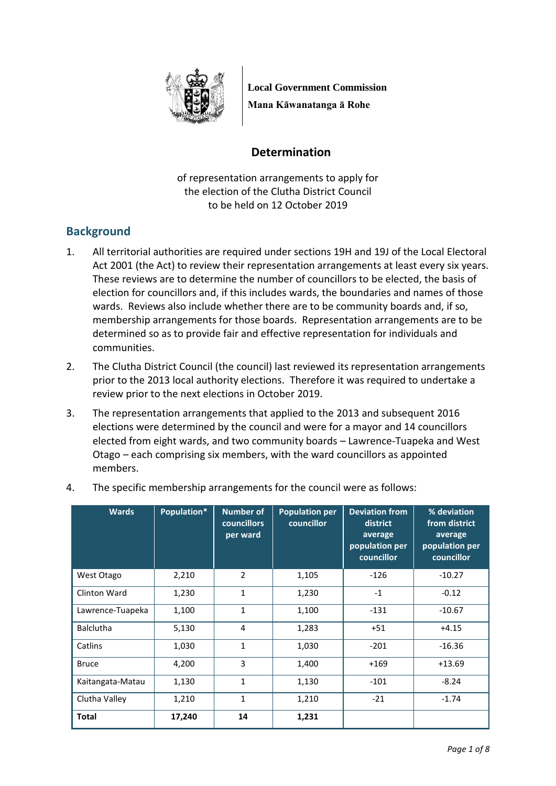

**Local Government Commission Mana Kāwanatanga ā Rohe**

# **Determination**

of representation arrangements to apply for the election of the Clutha District Council to be held on 12 October 2019

# **Background**

- 1. All territorial authorities are required under sections 19H and 19J of the Local Electoral Act 2001 (the Act) to review their representation arrangements at least every six years. These reviews are to determine the number of councillors to be elected, the basis of election for councillors and, if this includes wards, the boundaries and names of those wards. Reviews also include whether there are to be community boards and, if so, membership arrangements for those boards. Representation arrangements are to be determined so as to provide fair and effective representation for individuals and communities.
- 2. The Clutha District Council (the council) last reviewed its representation arrangements prior to the 2013 local authority elections. Therefore it was required to undertake a review prior to the next elections in October 2019.
- 3. The representation arrangements that applied to the 2013 and subsequent 2016 elections were determined by the council and were for a mayor and 14 councillors elected from eight wards, and two community boards – Lawrence-Tuapeka and West Otago – each comprising six members, with the ward councillors as appointed members.

| <b>Wards</b>     | Population* | <b>Number of</b><br>councillors<br>per ward | <b>Population per</b><br>councillor | <b>Deviation from</b><br>district<br>average<br>population per<br>councillor | % deviation<br>from district<br>average<br>population per<br>councillor |
|------------------|-------------|---------------------------------------------|-------------------------------------|------------------------------------------------------------------------------|-------------------------------------------------------------------------|
| West Otago       | 2,210       | 2                                           | 1,105                               | $-126$                                                                       | $-10.27$                                                                |
| Clinton Ward     | 1,230       | $\mathbf{1}$                                | 1,230                               | $-1$                                                                         | $-0.12$                                                                 |
| Lawrence-Tuapeka | 1,100       | $\mathbf{1}$                                | 1,100                               | $-131$                                                                       | $-10.67$                                                                |
| <b>Balclutha</b> | 5,130       | 4                                           | 1,283                               | $+51$                                                                        | $+4.15$                                                                 |
| Catlins          | 1,030       | $\mathbf{1}$                                | 1,030                               | $-201$                                                                       | $-16.36$                                                                |
| <b>Bruce</b>     | 4,200       | 3                                           | 1,400                               | $+169$                                                                       | $+13.69$                                                                |
| Kaitangata-Matau | 1,130       | $\mathbf{1}$                                | 1,130                               | $-101$                                                                       | $-8.24$                                                                 |
| Clutha Valley    | 1,210       | $\mathbf{1}$                                | 1,210                               | $-21$                                                                        | $-1.74$                                                                 |
| <b>Total</b>     | 17,240      | 14                                          | 1,231                               |                                                                              |                                                                         |

4. The specific membership arrangements for the council were as follows: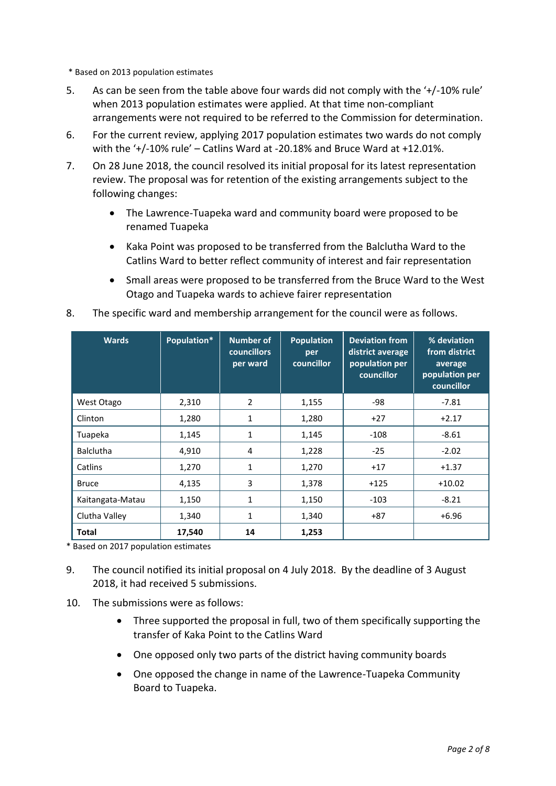\* Based on 2013 population estimates

- 5. As can be seen from the table above four wards did not comply with the '+/-10% rule' when 2013 population estimates were applied. At that time non-compliant arrangements were not required to be referred to the Commission for determination.
- 6. For the current review, applying 2017 population estimates two wards do not comply with the '+/-10% rule' – Catlins Ward at -20.18% and Bruce Ward at +12.01%.
- 7. On 28 June 2018, the council resolved its initial proposal for its latest representation review. The proposal was for retention of the existing arrangements subject to the following changes:
	- The Lawrence-Tuapeka ward and community board were proposed to be renamed Tuapeka
	- Kaka Point was proposed to be transferred from the Balclutha Ward to the Catlins Ward to better reflect community of interest and fair representation
	- Small areas were proposed to be transferred from the Bruce Ward to the West Otago and Tuapeka wards to achieve fairer representation

| <b>Wards</b>     | Population* | <b>Number of</b><br><b>councillors</b><br>per ward | <b>Population</b><br>per<br>councillor | <b>Deviation from</b><br>district average<br>population per<br>councillor | % deviation<br>from district<br>average<br>population per<br>councillor |
|------------------|-------------|----------------------------------------------------|----------------------------------------|---------------------------------------------------------------------------|-------------------------------------------------------------------------|
| West Otago       | 2,310       | $\overline{2}$                                     | 1,155                                  | -98                                                                       | $-7.81$                                                                 |
| Clinton          | 1,280       | $\mathbf{1}$                                       | 1,280                                  | $+27$                                                                     | $+2.17$                                                                 |
| Tuapeka          | 1,145       | 1                                                  | 1,145                                  | $-108$                                                                    | $-8.61$                                                                 |
| <b>Balclutha</b> | 4,910       | 4                                                  | 1,228                                  | $-25$                                                                     | $-2.02$                                                                 |
| Catlins          | 1,270       | $\mathbf{1}$                                       | 1,270                                  | $+17$                                                                     | $+1.37$                                                                 |
| <b>Bruce</b>     | 4,135       | 3                                                  | 1,378                                  | $+125$                                                                    | $+10.02$                                                                |
| Kaitangata-Matau | 1,150       | $\mathbf{1}$                                       | 1,150                                  | $-103$                                                                    | $-8.21$                                                                 |
| Clutha Valley    | 1,340       | $\mathbf{1}$                                       | 1,340                                  | $+87$                                                                     | $+6.96$                                                                 |
| <b>Total</b>     | 17,540      | 14                                                 | 1,253                                  |                                                                           |                                                                         |

8. The specific ward and membership arrangement for the council were as follows.

\* Based on 2017 population estimates

- 9. The council notified its initial proposal on 4 July 2018. By the deadline of 3 August 2018, it had received 5 submissions.
- 10. The submissions were as follows:
	- Three supported the proposal in full, two of them specifically supporting the transfer of Kaka Point to the Catlins Ward
	- One opposed only two parts of the district having community boards
	- One opposed the change in name of the Lawrence-Tuapeka Community Board to Tuapeka.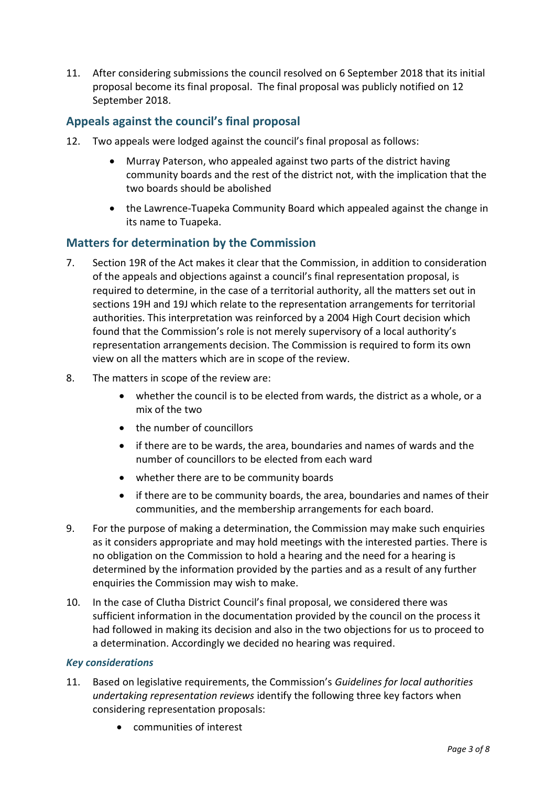11. After considering submissions the council resolved on 6 September 2018 that its initial proposal become its final proposal. The final proposal was publicly notified on 12 September 2018.

## **Appeals against the council's final proposal**

- 12. Two appeals were lodged against the council's final proposal as follows:
	- Murray Paterson, who appealed against two parts of the district having community boards and the rest of the district not, with the implication that the two boards should be abolished
	- the Lawrence-Tuapeka Community Board which appealed against the change in its name to Tuapeka.

## **Matters for determination by the Commission**

- 7. Section 19R of the Act makes it clear that the Commission, in addition to consideration of the appeals and objections against a council's final representation proposal, is required to determine, in the case of a territorial authority, all the matters set out in sections 19H and 19J which relate to the representation arrangements for territorial authorities. This interpretation was reinforced by a 2004 High Court decision which found that the Commission's role is not merely supervisory of a local authority's representation arrangements decision. The Commission is required to form its own view on all the matters which are in scope of the review.
- 8. The matters in scope of the review are:
	- whether the council is to be elected from wards, the district as a whole, or a mix of the two
	- the number of councillors
	- if there are to be wards, the area, boundaries and names of wards and the number of councillors to be elected from each ward
	- whether there are to be community boards
	- if there are to be community boards, the area, boundaries and names of their communities, and the membership arrangements for each board.
- 9. For the purpose of making a determination, the Commission may make such enquiries as it considers appropriate and may hold meetings with the interested parties. There is no obligation on the Commission to hold a hearing and the need for a hearing is determined by the information provided by the parties and as a result of any further enquiries the Commission may wish to make.
- 10. In the case of Clutha District Council's final proposal, we considered there was sufficient information in the documentation provided by the council on the process it had followed in making its decision and also in the two objections for us to proceed to a determination. Accordingly we decided no hearing was required.

#### *Key considerations*

- 11. Based on legislative requirements, the Commission's *Guidelines for local authorities undertaking representation reviews* identify the following three key factors when considering representation proposals:
	- communities of interest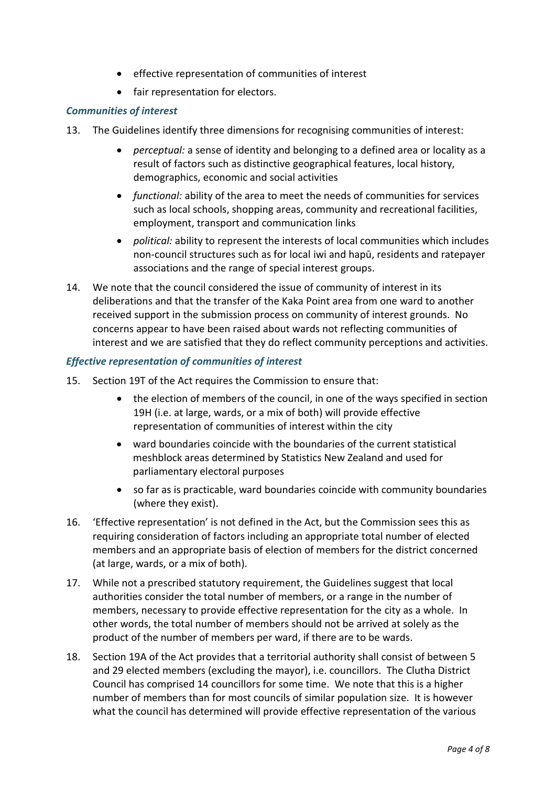- effective representation of communities of interest
- fair representation for electors.

#### *Communities of interest*

- 13. The Guidelines identify three dimensions for recognising communities of interest:
	- *perceptual:* a sense of identity and belonging to a defined area or locality as a result of factors such as distinctive geographical features, local history, demographics, economic and social activities
	- *functional:* ability of the area to meet the needs of communities for services such as local schools, shopping areas, community and recreational facilities, employment, transport and communication links
	- *political:* ability to represent the interests of local communities which includes non-council structures such as for local iwi and hapū, residents and ratepayer associations and the range of special interest groups.
- 14. We note that the council considered the issue of community of interest in its deliberations and that the transfer of the Kaka Point area from one ward to another received support in the submission process on community of interest grounds. No concerns appear to have been raised about wards not reflecting communities of interest and we are satisfied that they do reflect community perceptions and activities.

#### *Effective representation of communities of interest*

- 15. Section 19T of the Act requires the Commission to ensure that:
	- the election of members of the council, in one of the ways specified in section 19H (i.e. at large, wards, or a mix of both) will provide effective representation of communities of interest within the city
	- ward boundaries coincide with the boundaries of the current statistical meshblock areas determined by Statistics New Zealand and used for parliamentary electoral purposes
	- so far as is practicable, ward boundaries coincide with community boundaries (where they exist).
- 16. 'Effective representation' is not defined in the Act, but the Commission sees this as requiring consideration of factors including an appropriate total number of elected members and an appropriate basis of election of members for the district concerned (at large, wards, or a mix of both).
- 17. While not a prescribed statutory requirement, the Guidelines suggest that local authorities consider the total number of members, or a range in the number of members, necessary to provide effective representation for the city as a whole. In other words, the total number of members should not be arrived at solely as the product of the number of members per ward, if there are to be wards.
- 18. Section 19A of the Act provides that a territorial authority shall consist of between 5 and 29 elected members (excluding the mayor), i.e. councillors. The Clutha District Council has comprised 14 councillors for some time. We note that this is a higher number of members than for most councils of similar population size. It is however what the council has determined will provide effective representation of the various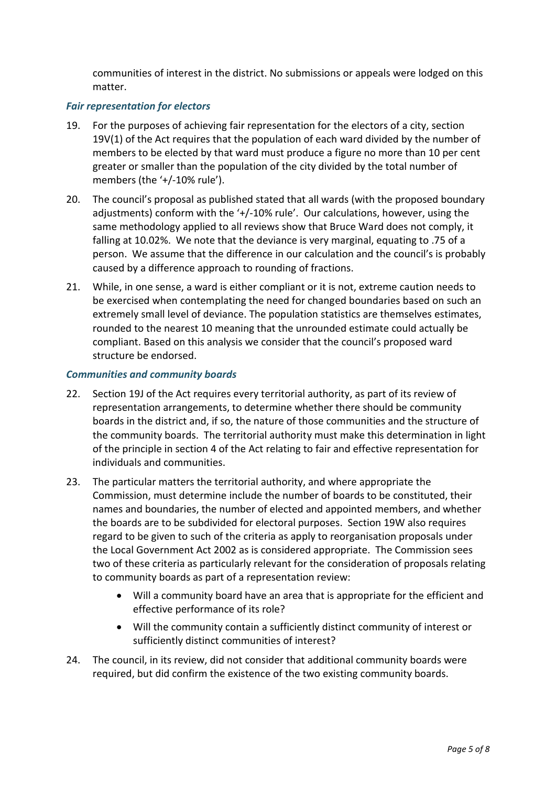communities of interest in the district. No submissions or appeals were lodged on this matter.

#### *Fair representation for electors*

- 19. For the purposes of achieving fair representation for the electors of a city, section 19V(1) of the Act requires that the population of each ward divided by the number of members to be elected by that ward must produce a figure no more than 10 per cent greater or smaller than the population of the city divided by the total number of members (the '+/-10% rule').
- 20. The council's proposal as published stated that all wards (with the proposed boundary adjustments) conform with the '+/-10% rule'. Our calculations, however, using the same methodology applied to all reviews show that Bruce Ward does not comply, it falling at 10.02%. We note that the deviance is very marginal, equating to .75 of a person. We assume that the difference in our calculation and the council's is probably caused by a difference approach to rounding of fractions.
- 21. While, in one sense, a ward is either compliant or it is not, extreme caution needs to be exercised when contemplating the need for changed boundaries based on such an extremely small level of deviance. The population statistics are themselves estimates, rounded to the nearest 10 meaning that the unrounded estimate could actually be compliant. Based on this analysis we consider that the council's proposed ward structure be endorsed.

#### *Communities and community boards*

- 22. Section 19J of the Act requires every territorial authority, as part of its review of representation arrangements, to determine whether there should be community boards in the district and, if so, the nature of those communities and the structure of the community boards. The territorial authority must make this determination in light of the principle in section 4 of the Act relating to fair and effective representation for individuals and communities.
- 23. The particular matters the territorial authority, and where appropriate the Commission, must determine include the number of boards to be constituted, their names and boundaries, the number of elected and appointed members, and whether the boards are to be subdivided for electoral purposes. Section 19W also requires regard to be given to such of the criteria as apply to reorganisation proposals under the Local Government Act 2002 as is considered appropriate. The Commission sees two of these criteria as particularly relevant for the consideration of proposals relating to community boards as part of a representation review:
	- Will a community board have an area that is appropriate for the efficient and effective performance of its role?
	- Will the community contain a sufficiently distinct community of interest or sufficiently distinct communities of interest?
- 24. The council, in its review, did not consider that additional community boards were required, but did confirm the existence of the two existing community boards.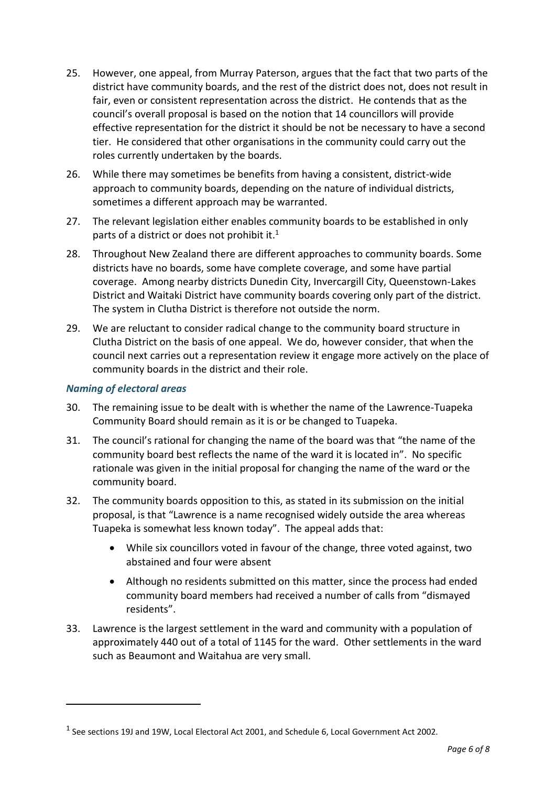- 25. However, one appeal, from Murray Paterson, argues that the fact that two parts of the district have community boards, and the rest of the district does not, does not result in fair, even or consistent representation across the district. He contends that as the council's overall proposal is based on the notion that 14 councillors will provide effective representation for the district it should be not be necessary to have a second tier. He considered that other organisations in the community could carry out the roles currently undertaken by the boards.
- 26. While there may sometimes be benefits from having a consistent, district-wide approach to community boards, depending on the nature of individual districts, sometimes a different approach may be warranted.
- 27. The relevant legislation either enables community boards to be established in only parts of a district or does not prohibit it.<sup>1</sup>
- 28. Throughout New Zealand there are different approaches to community boards. Some districts have no boards, some have complete coverage, and some have partial coverage. Among nearby districts Dunedin City, Invercargill City, Queenstown-Lakes District and Waitaki District have community boards covering only part of the district. The system in Clutha District is therefore not outside the norm.
- 29. We are reluctant to consider radical change to the community board structure in Clutha District on the basis of one appeal. We do, however consider, that when the council next carries out a representation review it engage more actively on the place of community boards in the district and their role.

## *Naming of electoral areas*

 $\overline{a}$ 

- 30. The remaining issue to be dealt with is whether the name of the Lawrence-Tuapeka Community Board should remain as it is or be changed to Tuapeka.
- 31. The council's rational for changing the name of the board was that "the name of the community board best reflects the name of the ward it is located in". No specific rationale was given in the initial proposal for changing the name of the ward or the community board.
- 32. The community boards opposition to this, as stated in its submission on the initial proposal, is that "Lawrence is a name recognised widely outside the area whereas Tuapeka is somewhat less known today". The appeal adds that:
	- While six councillors voted in favour of the change, three voted against, two abstained and four were absent
	- Although no residents submitted on this matter, since the process had ended community board members had received a number of calls from "dismayed residents".
- 33. Lawrence is the largest settlement in the ward and community with a population of approximately 440 out of a total of 1145 for the ward. Other settlements in the ward such as Beaumont and Waitahua are very small.

 $<sup>1</sup>$  See sections 19J and 19W, Local Electoral Act 2001, and Schedule 6, Local Government Act 2002.</sup>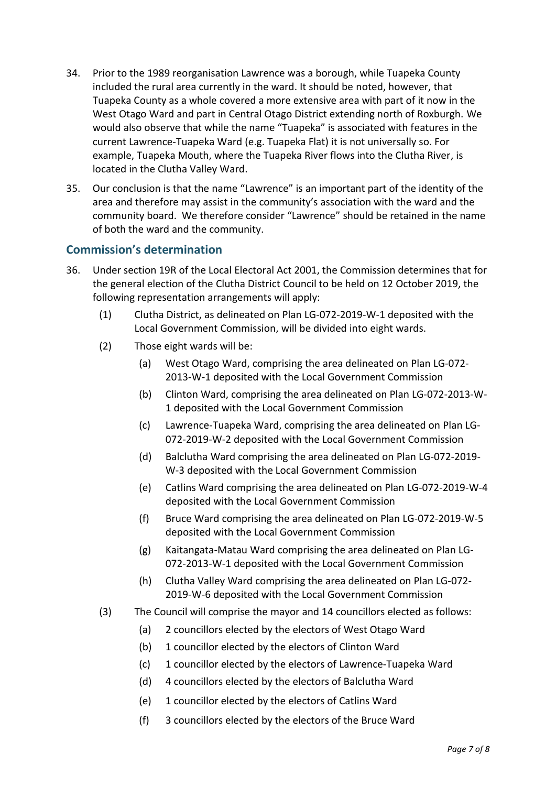- 34. Prior to the 1989 reorganisation Lawrence was a borough, while Tuapeka County included the rural area currently in the ward. It should be noted, however, that Tuapeka County as a whole covered a more extensive area with part of it now in the West Otago Ward and part in Central Otago District extending north of Roxburgh. We would also observe that while the name "Tuapeka" is associated with features in the current Lawrence-Tuapeka Ward (e.g. Tuapeka Flat) it is not universally so. For example, Tuapeka Mouth, where the Tuapeka River flows into the Clutha River, is located in the Clutha Valley Ward.
- 35. Our conclusion is that the name "Lawrence" is an important part of the identity of the area and therefore may assist in the community's association with the ward and the community board. We therefore consider "Lawrence" should be retained in the name of both the ward and the community.

## **Commission's determination**

- 36. Under section 19R of the Local Electoral Act 2001, the Commission determines that for the general election of the Clutha District Council to be held on 12 October 2019, the following representation arrangements will apply:
	- (1) Clutha District, as delineated on Plan LG-072-2019-W-1 deposited with the Local Government Commission, will be divided into eight wards.
	- (2) Those eight wards will be:
		- (a) West Otago Ward, comprising the area delineated on Plan LG-072- 2013-W-1 deposited with the Local Government Commission
		- (b) Clinton Ward, comprising the area delineated on Plan LG-072-2013-W-1 deposited with the Local Government Commission
		- (c) Lawrence-Tuapeka Ward, comprising the area delineated on Plan LG-072-2019-W-2 deposited with the Local Government Commission
		- (d) Balclutha Ward comprising the area delineated on Plan LG-072-2019- W-3 deposited with the Local Government Commission
		- (e) Catlins Ward comprising the area delineated on Plan LG-072-2019-W-4 deposited with the Local Government Commission
		- (f) Bruce Ward comprising the area delineated on Plan LG-072-2019-W-5 deposited with the Local Government Commission
		- (g) Kaitangata-Matau Ward comprising the area delineated on Plan LG-072-2013-W-1 deposited with the Local Government Commission
		- (h) Clutha Valley Ward comprising the area delineated on Plan LG-072- 2019-W-6 deposited with the Local Government Commission
	- (3) The Council will comprise the mayor and 14 councillors elected as follows:
		- (a) 2 councillors elected by the electors of West Otago Ward
		- (b) 1 councillor elected by the electors of Clinton Ward
		- (c) 1 councillor elected by the electors of Lawrence-Tuapeka Ward
		- (d) 4 councillors elected by the electors of Balclutha Ward
		- (e) 1 councillor elected by the electors of Catlins Ward
		- (f) 3 councillors elected by the electors of the Bruce Ward